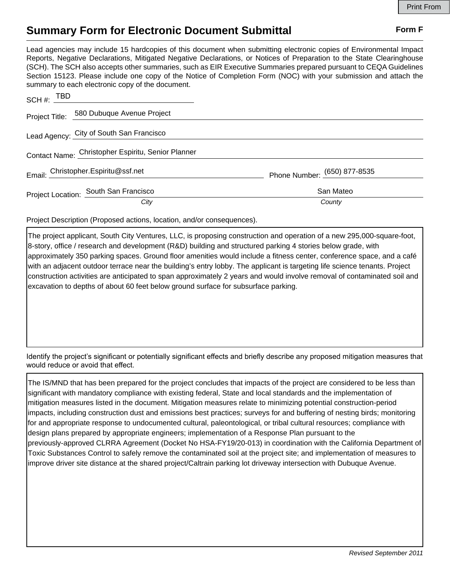## **Summary Form for Electronic Document Submittal Form F Form F**

Lead agencies may include 15 hardcopies of this document when submitting electronic copies of Environmental Impact Reports, Negative Declarations, Mitigated Negative Declarations, or Notices of Preparation to the State Clearinghouse (SCH). The SCH also accepts other summaries, such as EIR Executive Summaries prepared pursuant to CEQA Guidelines Section 15123. Please include one copy of the Notice of Completion Form (NOC) with your submission and attach the summary to each electronic copy of the document.

| SCH #: $TBD$ |                                                    |                              |
|--------------|----------------------------------------------------|------------------------------|
|              | Project Title: 580 Dubuque Avenue Project          |                              |
|              | Lead Agency: City of South San Francisco           |                              |
|              | Contact Name: Christopher Espiritu, Senior Planner |                              |
|              | Email: Christopher.Espiritu@ssf.net                | Phone Number: (650) 877-8535 |
|              | Project Location: South San Francisco              | San Mateo                    |
|              | City                                               | County                       |

Project Description (Proposed actions, location, and/or consequences).

The project applicant, South City Ventures, LLC, is proposing construction and operation of a new 295,000-square-foot, 8-story, office / research and development (R&D) building and structured parking 4 stories below grade, with approximately 350 parking spaces. Ground floor amenities would include a fitness center, conference space, and a café with an adjacent outdoor terrace near the building's entry lobby. The applicant is targeting life science tenants. Project construction activities are anticipated to span approximately 2 years and would involve removal of contaminated soil and excavation to depths of about 60 feet below ground surface for subsurface parking.

Identify the project's significant or potentially significant effects and briefly describe any proposed mitigation measures that would reduce or avoid that effect.

The IS/MND that has been prepared for the project concludes that impacts of the project are considered to be less than significant with mandatory compliance with existing federal, State and local standards and the implementation of mitigation measures listed in the document. Mitigation measures relate to minimizing potential construction-period impacts, including construction dust and emissions best practices; surveys for and buffering of nesting birds; monitoring for and appropriate response to undocumented cultural, paleontological, or tribal cultural resources; compliance with design plans prepared by appropriate engineers; implementation of a Response Plan pursuant to the previously-approved CLRRA Agreement (Docket No HSA-FY19/20-013) in coordination with the California Department of Toxic Substances Control to safely remove the contaminated soil at the project site; and implementation of measures to improve driver site distance at the shared project/Caltrain parking lot driveway intersection with Dubuque Avenue.